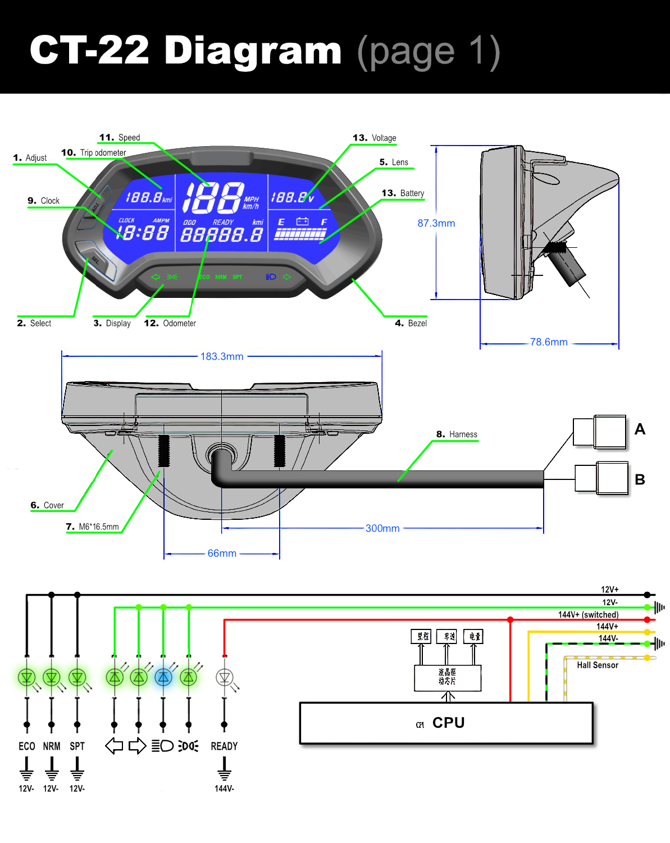## CT-22 Diagram (page 1)



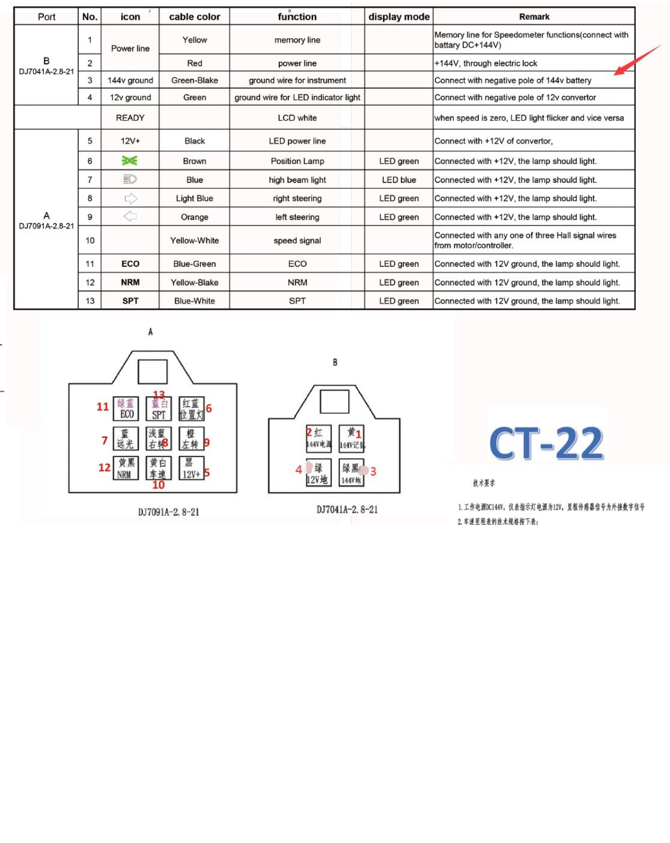| Port                | No.            | icon         | cable color       | function                            | display mode    | <b>Remark</b>                                                               |
|---------------------|----------------|--------------|-------------------|-------------------------------------|-----------------|-----------------------------------------------------------------------------|
|                     |                | Power line   | Yellow            | memory line                         |                 | Memory line for Speedometer functions(connect with<br>battary DC+144V)      |
| B<br>DJ7041A-2.8-21 | $\overline{2}$ |              | Red               | power line                          |                 | +144V, through electric lock                                                |
|                     | 3              | 144y ground  | Green-Blake       | ground wire for instrument          |                 | Connect with negative pole of 144v battery                                  |
|                     | 4              | 12y ground   | Green             | ground wire for LED indicator light |                 | Connect with negative pole of 12y convertor                                 |
|                     |                | <b>READY</b> |                   | LCD white                           |                 | when speed is zero, LED light flicker and vice versa                        |
|                     | 5              | $12V+$       | Black             | LED power line                      |                 | Connect with +12V of convertor,                                             |
|                     | 6              | 涎            | Brown             | Position Lamp                       | LED green       | Connected with +12V, the lamp should light.                                 |
|                     | $\overline{7}$ | ED           | Blue              | high beam light                     | <b>LED blue</b> | Connected with +12V, the lamp should light.                                 |
|                     | 8              | ⇨            | <b>Light Blue</b> | right steering                      | LED green       | Connected with +12V, the lamp should light.                                 |
| А<br>DJ7091A-2.8-21 | 9              | Ġ            | Orange            | left steering                       | LED green       | Connected with +12V, the lamp should light.                                 |
|                     | 10             |              | Yellow-White      | speed signal                        |                 | Connected with any one of three Hall signal wires<br>from motor/controller. |
|                     | 11             | ECO          | Blue-Green        | ECO                                 | LED green       | Connected with 12V ground, the lamp should light.                           |
|                     | 12             | <b>NRM</b>   | Yellow-Blake      | <b>NRM</b>                          | LED green       | Connected with 12V ground, the lamp should light.                           |
|                     | 13             | <b>SPT</b>   | Blue-White        | <b>SPT</b>                          | LED green       | Connected with 12V ground, the lamp should light.                           |



DJ7091A-2.8-21





**CT-22** 

技术要求

1. 工作电源IC144V, 仅表指示灯电源为12V, 里程传格器信号为外接数字信号 2. 车速里程表的技术规格按下表: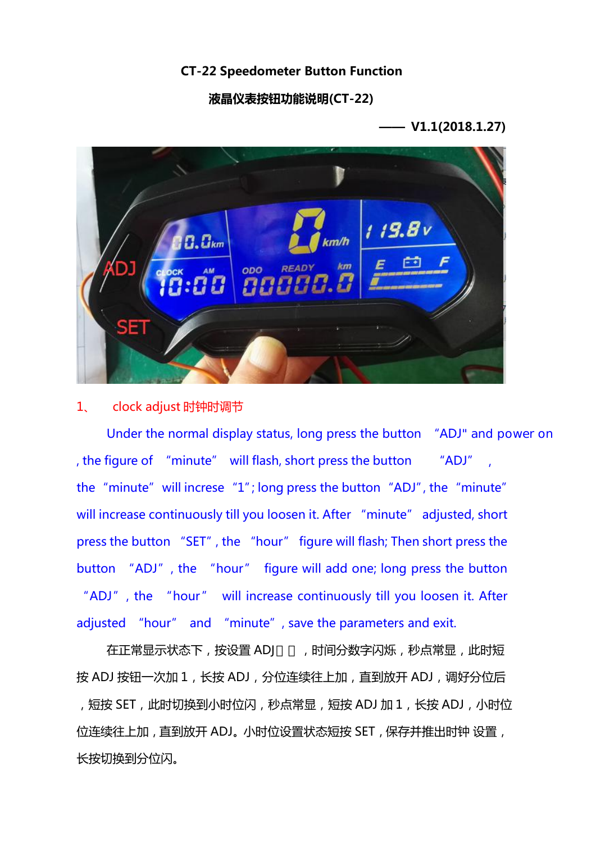#### **CT-22 Speedometer Button Function**

#### **液晶仪表按钮功能说明(CT-22)**

**—— V1.1(2018.1.27)**



### 1、 clock adjust 时钟时调节

Under the normal display status, long press the button "ADJ" and power on the "minute" will increse  $T$ "; long press the button "ADJ", the "minute" will increase continuously till you loosen it. After "minute" adjusted, short press the button "SET", the "hour" figure will flash; Then short press the button "ADJ", the "hour" figure will add one; long press the button "ADJ", the "hour" will increase continuously till you loosen it. After adjusted "hour" and "minute", save the parameters and exit. "minute" will increse "1"; long press the button "ADJ", the "minute"<br>ncrease continuously till you loosen it. After "minute" adjusted, short<br>the button "SET", the "hour" figure will flash; Then short press the<br>n "ADJ", th win increase condinatorsy an you hoosen it. Arter — infinite — agasted, short<br>press the button "SET", the "hour" figure will add one; long press the button<br>"ADJ", the "hour" will increase continuously till you loosen it. the "imititese" I", tong press the button" ADJ", the "imitite"<br>will increase continuously till you loosen it. After "minute" adjusted, short<br>press the button "SET", the "hour" figure will flash; Then short press the<br>butto

pless the octtor in Set in the libot in lighte will hash, then short pless the button "ADJ", the "hour" will increase continuously till you loosen it. After adjusted "hour" and "minute", save the parameters and exit.<br>在正常显 长按切换到分位闪。 位连续往上加, 直到放开 ADJ。小时位设置状态短按 SET, 保存并推出时钟 设置,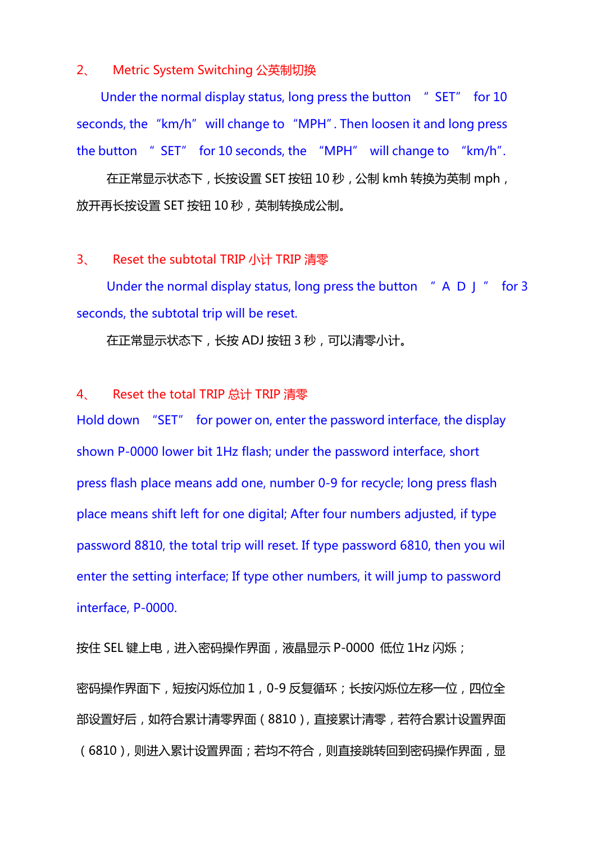#### 2、 Metric System Switching 公英制切换

seconds, the "km/h" will change to "MPH". Then loosen it and long press the button " SET" for 10 seconds, the "MPH" will change to "km/h". and long press<br>ge to "km/h".<br>换为英制 mph ,<br>"A D J " for 3 Metric System Switching 公英制切换<br>Under the normal display status, long press the button " SET" for 10<br>onds, the "km/h" will change to "MPH". Then loosen it and long press

在正常显示状态下,长按设置 SET 按钮 10 秒,公制 kmh 转换为英制 mph, 放开再长按设置 SET 按钮 10 秒,英制转换成公制。

#### 3、 Reset the subtotal TRIP 小计 TRIP 清零

Under the normal display status, long press the button  $H \cap D$  and  $H \cap D$  and  $T \cap D$ seconds, the subtotal trip will be reset.

在正常显示状态下,长按 ADJ 按钮 3 秒,可以清零小计。

### 4、 Reset the total TRIP 总计 TRIP 清零

Hold down "SET" for power on, enter the password interface, the display shown P-0000 lower bit 1Hz flash; under the password interface, short press flash place means add one, number 0-9 for recycle; long press flash place means shift left for one digital; After four numbers adjusted, if type password 8810, the total trip will reset. If type password 6810, then you wil enter the setting interface; If type other numbers, it will jump to password interface, P-0000.

按住 SEL 键上电,进入密码操作界面,液晶显示 P-0000 低位 1Hz 闪烁;

密码操作界面下,短按闪烁位加 1,0-9 反复循环;长按闪烁位左移一位,四位全 部设置好后,如符合累计清零界面(8810),直接累计清零,若符合累计设置界面 (6810), 则进入累计设置界面; 若均不符合, 则直接跳转回到密码操作界面, 显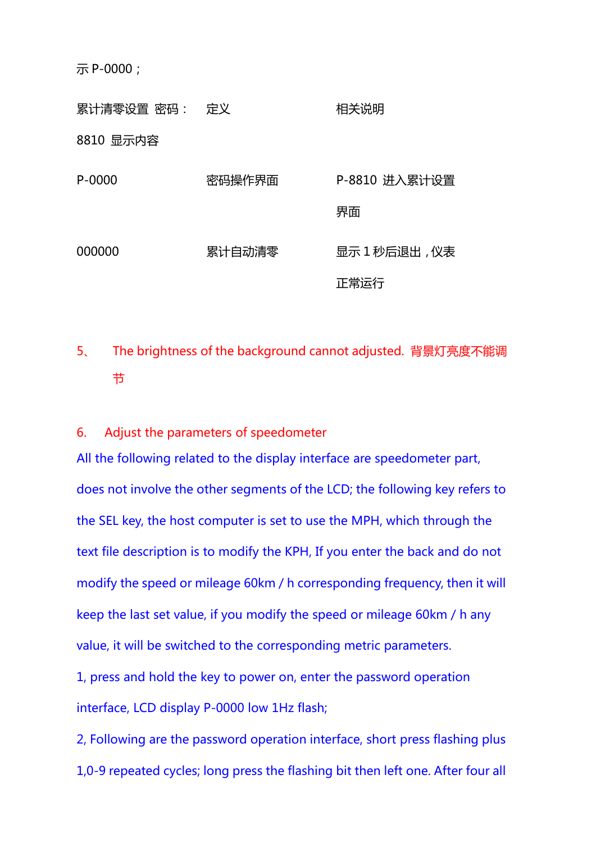示 P-0000;

累计清零设置 密码: 定义 8810 显示内容 相关说明 P-0000 密码操作界面 P-8810 进入累计设置 **界面 しんしん しんしん おおおお かいしん あいしん** 000000 累计自动清零 显示 1 秒后退出, 仪表 正常运行

# 5、 The brightness of the background cannot adjusted. 背景灯亮度不能调 おおし しょうしょう しょうしょう しんしょう しんしょう

6. Adjust the parameters of speedometer

All the following related to the display interface are speedometer part, does not involve the other segments of the LCD; the following key refers to the SEL key, the host computer is set to use the MPH, which through the text file description is to modify the KPH, If you enter the back and do not modify the speed or mileage 60km / h corresponding frequency, then it will keep the last set value, if you modify the speed or mileage 60km / h any value, it will be switched to the corresponding metric parameters.

1, press and hold the key to power on, enter the password operation interface, LCD display P-0000 low 1Hz flash;

2, Following are the password operation interface, short press flashing plus 1,0-9 repeated cycles; long press the flashing bit then left one. After four all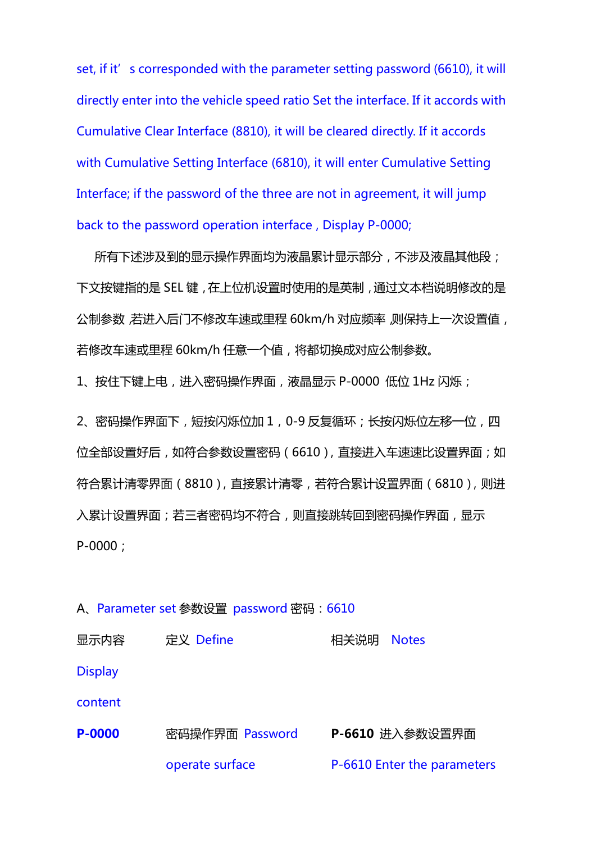set, if it's corresponded with the parameter setting password (6610), it will directly enterinto the vehicle speed ratio Set the interface. If it accords with Cumulative Clear Interface (8810), it will be cleared directly. If it accords with Cumulative Setting Interface (6810), it will enter Cumulative Setting Interface; if the password of the three are not in agreement, it will jump back to the password operation interface , Display P-0000;

所有下述涉及到的显示操作界面均为液晶累计显示部分,不涉及液晶其他段; 下文按键指的是 SEL 键,在上位机设置时使用的是英制,通过文本档说明修改的是 公制参数,若进入后门不修改车速或里程 60km/h 对应频率,则保持上一次设置值, 若修改车速或里程 60km/h 任意一个值,将都切换成对应公制参数。

1、按住下键上电,进入密码操作界面,液晶显示 P-0000 低位 1Hz 闪烁;

2、密码操作界面下,短按闪烁位加 1, 0-9 反复循环;长按闪烁位左移一位, 四 位全部设置好后,如符合参数设置密码(6610),直接进入车速速比设置界面;如 符合累计清零界面(8810),直接累计清零,若符合累计设置界面(6810),则进 入累计设置界面;若三者密码均不符合,则直接跳转回到密码操作界面,显示 P-0000;

#### A、Parameter set 参数设置 password 密码: 6610

| 显示内容           | 定义 Define       | 相关说明<br><b>Notes</b>        |
|----------------|-----------------|-----------------------------|
| <b>Display</b> |                 |                             |
| content        |                 |                             |
| P-0000         | 密码操作界面 Password | P-6610 进入参数设置界面             |
|                | operate surface | P-6610 Enter the parameters |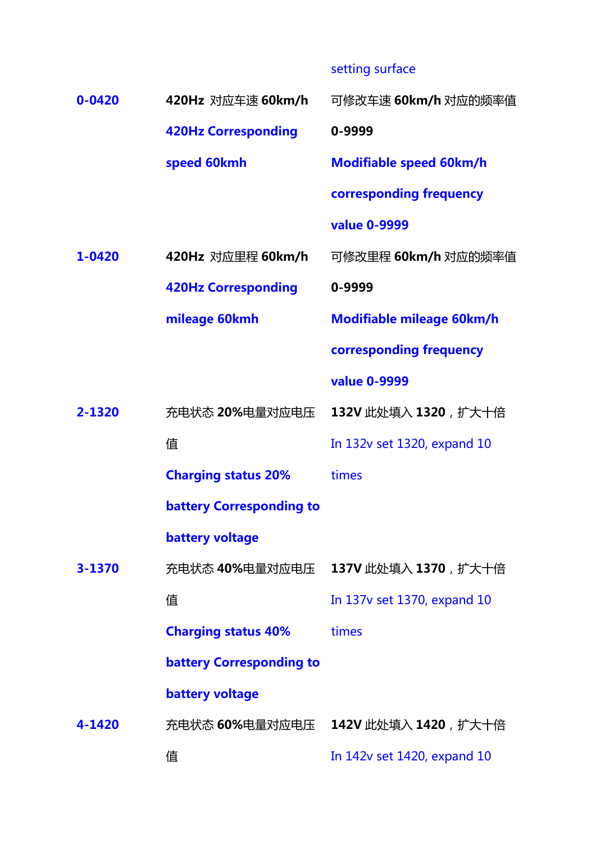# setting surface

| $0 - 0420$ | 420Hz 对应车速 60km/h               | 可修改车速 60km/h 对应的频率值                 |
|------------|---------------------------------|-------------------------------------|
|            | <b>420Hz Corresponding</b>      | 0-9999                              |
|            | speed 60kmh                     | <b>Modifiable speed 60km/h</b>      |
|            |                                 | corresponding frequency             |
|            |                                 | value 0-9999                        |
| 1-0420     | 420Hz 对应里程 60km/h               | 可修改里程 60km/h 对应的频率值                 |
|            | <b>420Hz Corresponding</b>      | 0-9999                              |
|            | mileage 60kmh                   | Modifiable mileage 60km/h           |
|            |                                 | corresponding frequency             |
|            |                                 | value 0-9999                        |
| 2-1320     | 充电状态 20%电量对应电压                  | 132V 此处填入 1320, 扩大十倍                |
|            | 值                               | In 132v set 1320, expand 10         |
|            | <b>Charging status 20%</b>      | times                               |
|            | <b>battery Corresponding to</b> |                                     |
|            | <b>battery voltage</b>          |                                     |
| 3-1370     |                                 | 充电状态 40%电量对应电压 137V 此处填入 1370, 扩大十倍 |
|            | 值                               | In 137v set 1370, expand 10         |
|            | <b>Charging status 40%</b>      | times                               |
|            | <b>battery Corresponding to</b> |                                     |
|            | <b>battery voltage</b>          |                                     |
| 4-1420     |                                 | 充电状态 60%电量对应电压 242V 此处填入 1420, 扩大十倍 |
|            | 值                               | In 142v set 1420, expand 10         |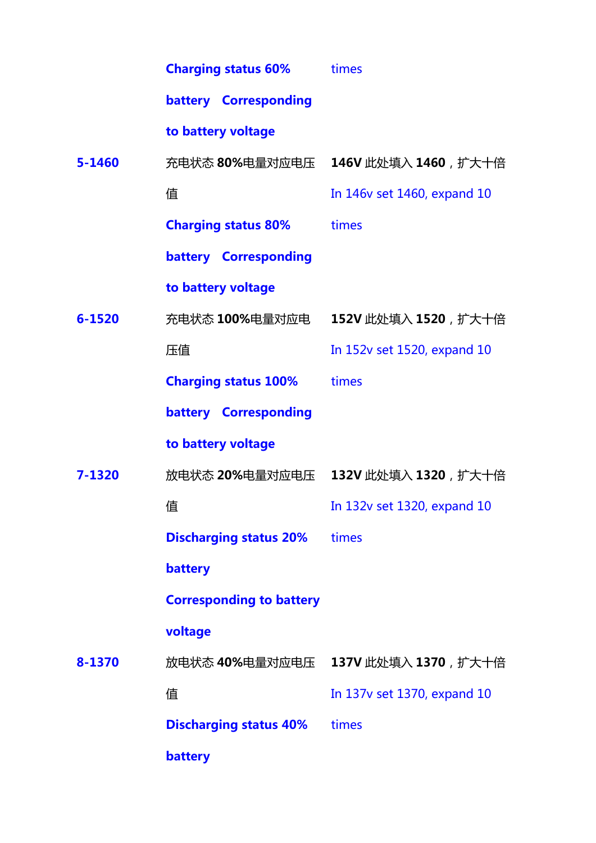|            | <b>Charging status 60%</b>      | times                               |
|------------|---------------------------------|-------------------------------------|
|            | battery Corresponding           |                                     |
|            | to battery voltage              |                                     |
| $5 - 1460$ |                                 | 充电状态 80%电量对应电压 146V 此处填入 1460, 扩大十倍 |
|            | 值                               | In 146v set 1460, expand 10         |
|            | <b>Charging status 80%</b>      | times                               |
|            | battery Corresponding           |                                     |
|            | to battery voltage              |                                     |
| $6 - 1520$ |                                 | 充电状态 100%电量对应电 152V 此处填入 1520, 扩大十倍 |
|            | 压值                              | In 152v set 1520, expand 10         |
|            | <b>Charging status 100%</b>     | times                               |
|            | battery Corresponding           |                                     |
|            | to battery voltage              |                                     |
| 7-1320     |                                 | 放电状态 20%电量对应电压 132V 此处填入 1320, 扩大十倍 |
|            | 值                               | In 132v set 1320, expand 10         |
|            | <b>Discharging status 20%</b>   | times                               |
|            | battery                         |                                     |
|            | <b>Corresponding to battery</b> |                                     |
|            | voltage                         |                                     |
| 8-1370     |                                 | 放电状态 40%电量对应电压 237V 此处填入 1370, 扩大十倍 |
|            | 值                               | In 137v set 1370, expand 10         |
|            | <b>Discharging status 40%</b>   | times                               |
|            | battery                         |                                     |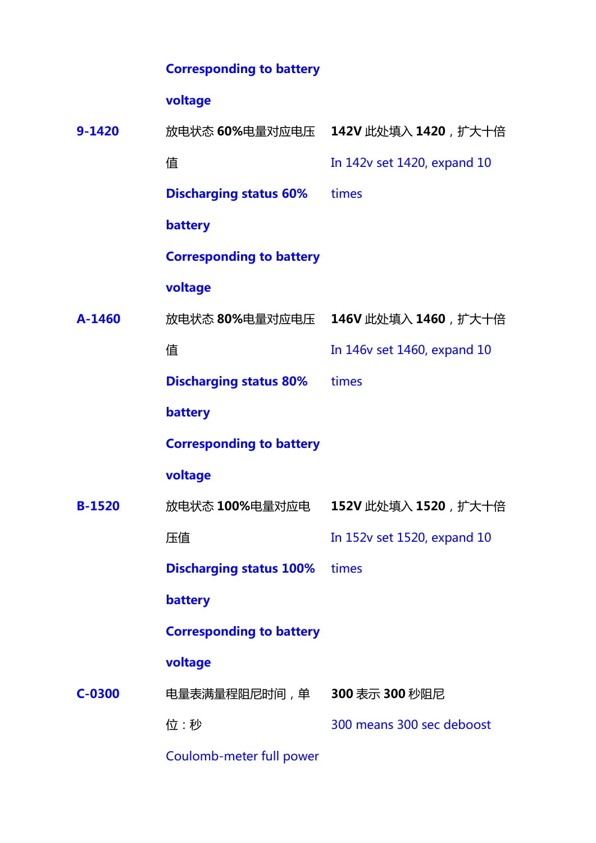### **Corresponding to battery**

## **voltage**

| $9 - 1420$    |                                      | 放电状态 60%电量对应电压 242V 此处填入 1420, 扩大十倍 |
|---------------|--------------------------------------|-------------------------------------|
|               | 值                                    | In 142v set 1420, expand 10         |
|               | <b>Discharging status 60%</b>        | times                               |
|               | battery                              |                                     |
|               | <b>Corresponding to battery</b>      |                                     |
|               | voltage                              |                                     |
| A-1460        |                                      | 放电状态 80%电量对应电压 146V 此处填入 1460, 扩大十倍 |
|               | 值                                    | In 146v set 1460, expand 10         |
|               | <b>Discharging status 80%</b>        | times                               |
|               | battery                              |                                     |
|               | <b>Corresponding to battery</b>      |                                     |
|               | voltage                              |                                     |
| <b>B-1520</b> | 放电状态 100%电量对应电                       | 152V 此处填入 1520, 扩大十倍                |
|               | 压值                                   | In 152v set 1520, expand 10         |
|               | <b>Discharging status 100%</b> times |                                     |
|               | battery                              |                                     |
|               | <b>Corresponding to battery</b>      |                                     |
|               | voltage                              |                                     |
| $C-0300$      | 电量表满量程阻尼时间,单                         | 300 表示 300 秒阻尼                      |
|               | 位:秒                                  | 300 means 300 sec deboost           |
|               |                                      |                                     |

Coulomb-meter full power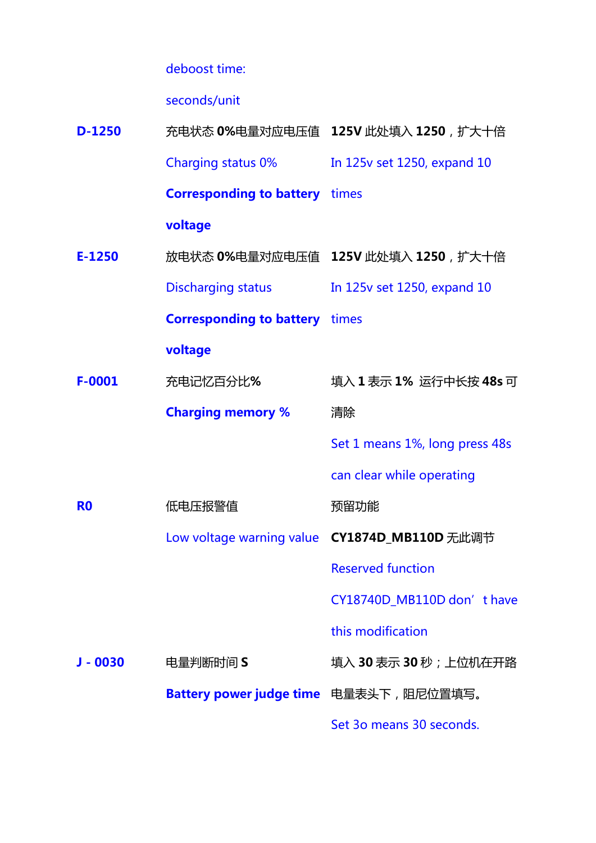deboost time:

seconds/unit

| $D-1250$       |                                        | 充电状态 0%电量对应电压值 125V 此处填入 1250, 扩大十倍            |
|----------------|----------------------------------------|------------------------------------------------|
|                |                                        | Charging status 0% In 125v set 1250, expand 10 |
|                | <b>Corresponding to battery</b> times  |                                                |
|                | voltage                                |                                                |
| $E-1250$       |                                        | 放电状态 0%电量对应电压值 125V 此处填入 1250, 扩大十倍            |
|                |                                        | Discharging status In 125v set 1250, expand 10 |
|                | <b>Corresponding to battery</b> times  |                                                |
|                | voltage                                |                                                |
| $F-0001$       | 充电记忆百分比%                               | 填入1表示1%运行中长按48s可                               |
|                | <b>Charging memory %</b>               | 清除                                             |
|                |                                        | Set 1 means 1%, long press 48s                 |
|                |                                        | can clear while operating                      |
| R <sub>0</sub> | 低电压报警值                                 | 预留功能                                           |
|                |                                        | Low voltage warning value CY1874D_MB110D 无此调节  |
|                |                                        | <b>Reserved function</b>                       |
|                |                                        | CY18740D_MB110D don' thave                     |
|                |                                        | this modification                              |
| $J - 0030$     | 电量判断时间 S                               | 填入 30 表示 30 秒;上位机在开路                           |
|                | Battery power judge time 电量表头下,阻尼位置填写。 |                                                |
|                |                                        | Set 30 means 30 seconds.                       |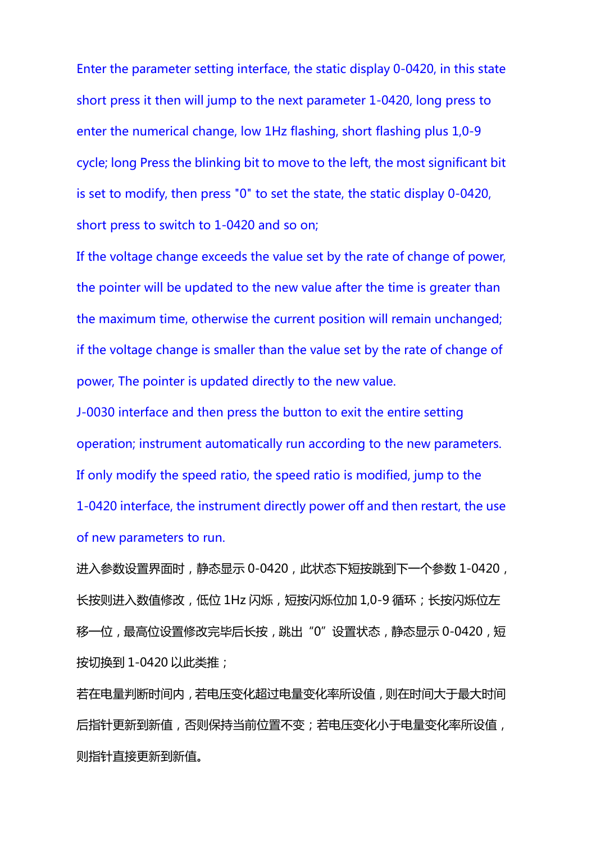Enter the parameter setting interface, the static display 0-0420, in this state short press it then will jump to the next parameter 1-0420, long press to enter the numerical change, low 1Hz flashing, short flashing plus 1,0-9 cycle; long Press the blinking bit to move to the left, the most significant bit is set to modify, then press "0" to set the state, the static display 0-0420, short press to switch to 1-0420 and so on;

If the voltage change exceeds the value set by the rate of change of power, the pointer will be updated to the new value after the time is greater than the maximum time, otherwise the current position will remain unchanged; if the voltage change is smaller than the value set by the rate of change of power, The pointer is updated directly to the new value.

J-0030 interface and then press the button to exit the entire setting operation; instrument automatically run according to the new parameters. If only modify the speed ratio, the speed ratio is modified, jump to the 1-0420 interface, the instrument directly power off and then restart, the use of new parameters to run.

进入参数设置界面时,静态显示 0-0420,此状态下短按跳到下一个参数 1-0420, 长按则进入数值修改,低位 1Hz 闪烁,短按闪烁位加 1,0-9 循环;长按闪烁位左 移一位,最高位设置修改完毕后长按,跳出"0"设置状态,静态显示 0-0420,短 按切换到 1-0420 以此类推;

若在电量判断时间内,若电压变化超过电量变化率所设值,则在时间大于最大时间 后指针更新到新值,否则保持当前位置不变;若电压变化小于电量变化率所设值, 则指针直接更新到新值。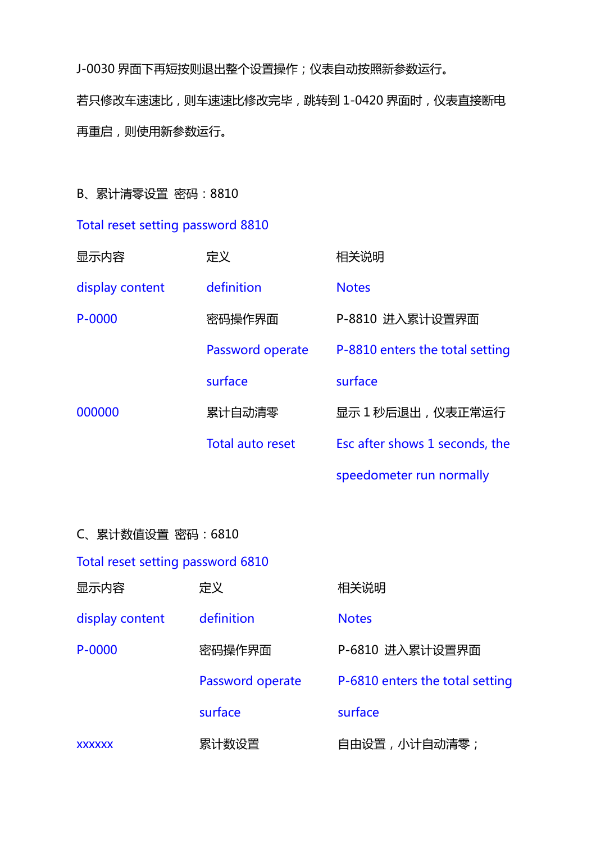J-0030 界面下再短按则退出整个设置操作;仪表自动按照新参数运行。 若只修改车速速比,则车速速比修改完毕,跳转到 1-0420 界面时,仪表直接断电 再重启,则使用新参数运行。

B、累计清零设置 密码:8810

Total reset setting password 8810

| 显示内容            | 定义                      | 相关说明                            |
|-----------------|-------------------------|---------------------------------|
| display content | definition              | <b>Notes</b>                    |
| P-0000          | 密码操作界面                  | P-8810 进入累计设置界面                 |
|                 | Password operate        | P-8810 enters the total setting |
|                 | surface                 | surface                         |
| 000000          | 累计自动清零                  | 显示 1 秒后退出, 仪表正常运行               |
|                 | <b>Total auto reset</b> | Esc after shows 1 seconds, the  |
|                 |                         | speedometer run normally        |

|--|

|  |  |  | Total reset setting password 6810 |  |
|--|--|--|-----------------------------------|--|
|--|--|--|-----------------------------------|--|

| 显示内容            | 定义               | 相关说明                            |
|-----------------|------------------|---------------------------------|
| display content | definition       | <b>Notes</b>                    |
| P-0000          | 密码操作界面           | P-6810 进入累计设置界面                 |
|                 | Password operate | P-6810 enters the total setting |
|                 | surface          | surface                         |
| <b>XXXXXX</b>   | 累计数设置            | 自由设置,小计自动清零;                    |